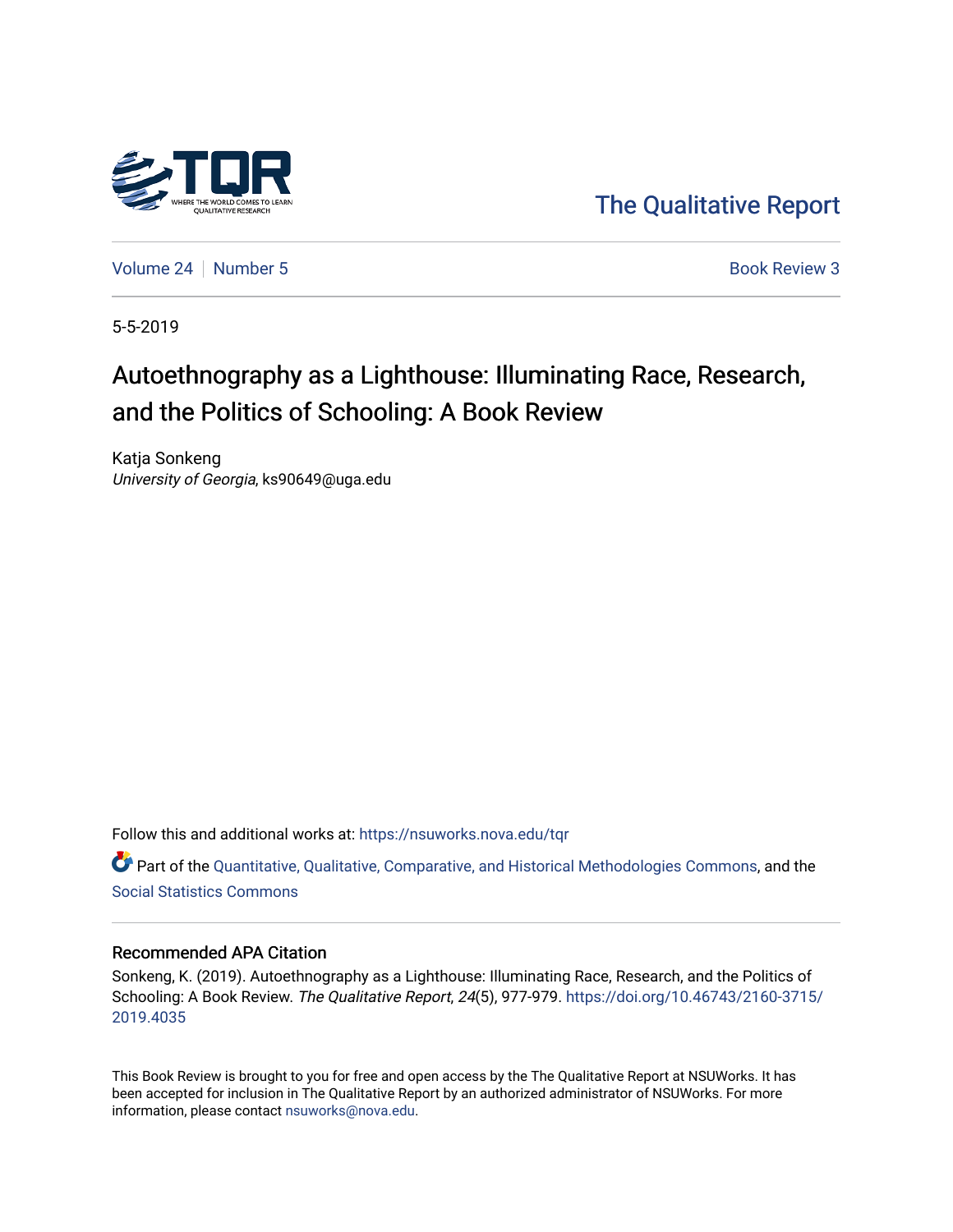

[The Qualitative Report](https://nsuworks.nova.edu/tqr) 

[Volume 24](https://nsuworks.nova.edu/tqr/vol24) [Number 5](https://nsuworks.nova.edu/tqr/vol24/iss5) **Book Review 3** 

5-5-2019

# Autoethnography as a Lighthouse: Illuminating Race, Research, and the Politics of Schooling: A Book Review

Katja Sonkeng University of Georgia, ks90649@uga.edu

Follow this and additional works at: [https://nsuworks.nova.edu/tqr](https://nsuworks.nova.edu/tqr?utm_source=nsuworks.nova.edu%2Ftqr%2Fvol24%2Fiss5%2F3&utm_medium=PDF&utm_campaign=PDFCoverPages) 

Part of the [Quantitative, Qualitative, Comparative, and Historical Methodologies Commons,](http://network.bepress.com/hgg/discipline/423?utm_source=nsuworks.nova.edu%2Ftqr%2Fvol24%2Fiss5%2F3&utm_medium=PDF&utm_campaign=PDFCoverPages) and the [Social Statistics Commons](http://network.bepress.com/hgg/discipline/1275?utm_source=nsuworks.nova.edu%2Ftqr%2Fvol24%2Fiss5%2F3&utm_medium=PDF&utm_campaign=PDFCoverPages) 

#### Recommended APA Citation

Sonkeng, K. (2019). Autoethnography as a Lighthouse: Illuminating Race, Research, and the Politics of Schooling: A Book Review. The Qualitative Report, 24(5), 977-979. [https://doi.org/10.46743/2160-3715/](https://doi.org/10.46743/2160-3715/2019.4035) [2019.4035](https://doi.org/10.46743/2160-3715/2019.4035) 

This Book Review is brought to you for free and open access by the The Qualitative Report at NSUWorks. It has been accepted for inclusion in The Qualitative Report by an authorized administrator of NSUWorks. For more information, please contact [nsuworks@nova.edu.](mailto:nsuworks@nova.edu)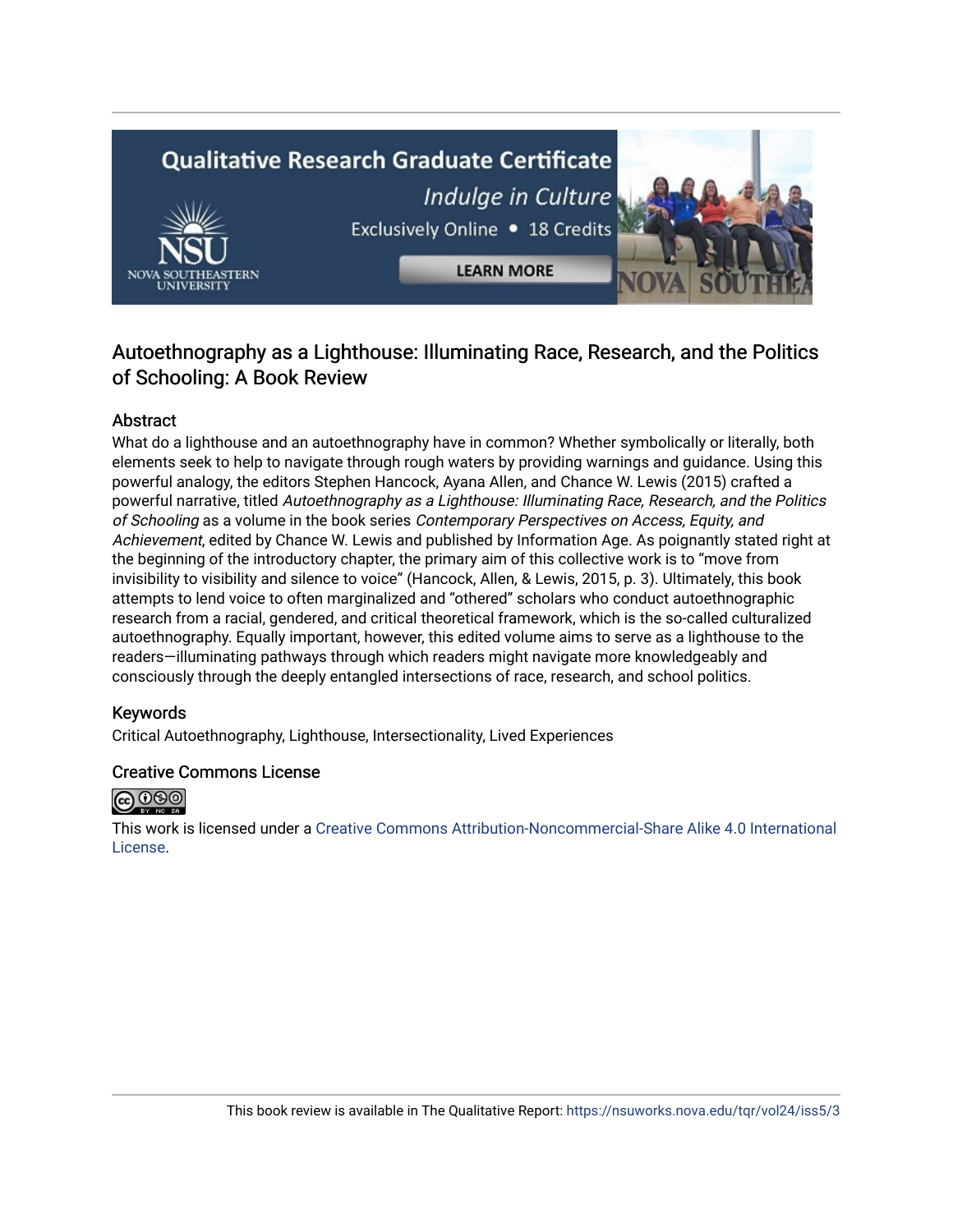# **Qualitative Research Graduate Certificate** Indulge in Culture Exclusively Online . 18 Credits **LEARN MORE**

### Autoethnography as a Lighthouse: Illuminating Race, Research, and the Politics of Schooling: A Book Review

#### Abstract

What do a lighthouse and an autoethnography have in common? Whether symbolically or literally, both elements seek to help to navigate through rough waters by providing warnings and guidance. Using this powerful analogy, the editors Stephen Hancock, Ayana Allen, and Chance W. Lewis (2015) crafted a powerful narrative, titled Autoethnography as a Lighthouse: Illuminating Race, Research, and the Politics of Schooling as a volume in the book series Contemporary Perspectives on Access, Equity, and Achievement, edited by Chance W. Lewis and published by Information Age. As poignantly stated right at the beginning of the introductory chapter, the primary aim of this collective work is to "move from invisibility to visibility and silence to voice" (Hancock, Allen, & Lewis, 2015, p. 3). Ultimately, this book attempts to lend voice to often marginalized and "othered" scholars who conduct autoethnographic research from a racial, gendered, and critical theoretical framework, which is the so-called culturalized autoethnography. Equally important, however, this edited volume aims to serve as a lighthouse to the readers—illuminating pathways through which readers might navigate more knowledgeably and consciously through the deeply entangled intersections of race, research, and school politics.

#### Keywords

Critical Autoethnography, Lighthouse, Intersectionality, Lived Experiences

#### Creative Commons License



This work is licensed under a [Creative Commons Attribution-Noncommercial-Share Alike 4.0 International](https://creativecommons.org/licenses/by-nc-sa/4.0/)  [License](https://creativecommons.org/licenses/by-nc-sa/4.0/).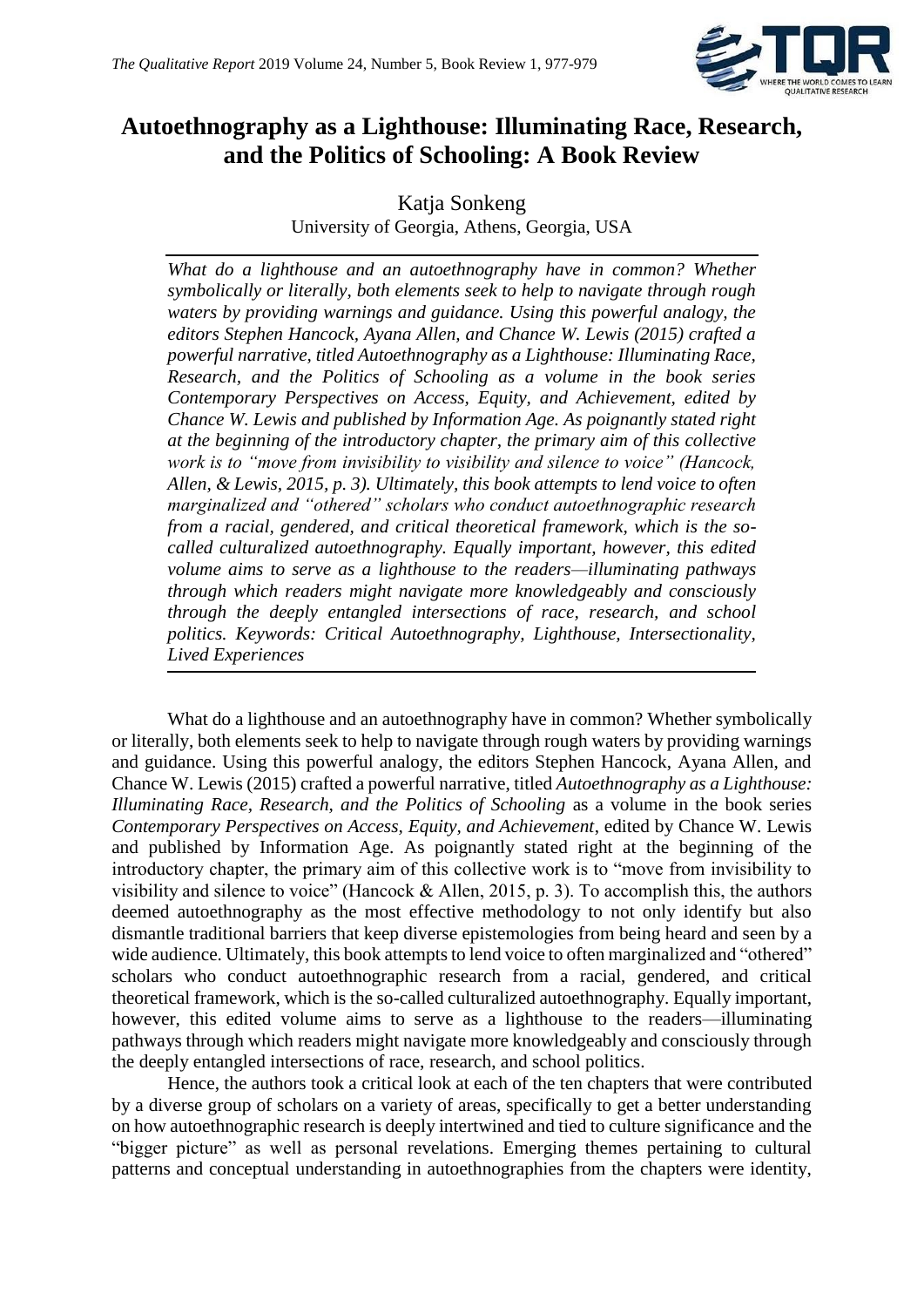

## **Autoethnography as a Lighthouse: Illuminating Race, Research, and the Politics of Schooling: A Book Review**

Katja Sonkeng University of Georgia, Athens, Georgia, USA

*What do a lighthouse and an autoethnography have in common? Whether symbolically or literally, both elements seek to help to navigate through rough waters by providing warnings and guidance. Using this powerful analogy, the editors Stephen Hancock, Ayana Allen, and Chance W. Lewis (2015) crafted a powerful narrative, titled Autoethnography as a Lighthouse: Illuminating Race, Research, and the Politics of Schooling as a volume in the book series Contemporary Perspectives on Access, Equity, and Achievement, edited by Chance W. Lewis and published by Information Age. As poignantly stated right at the beginning of the introductory chapter, the primary aim of this collective work is to "move from invisibility to visibility and silence to voice" (Hancock, Allen, & Lewis, 2015, p. 3). Ultimately, this book attempts to lend voice to often marginalized and "othered" scholars who conduct autoethnographic research from a racial, gendered, and critical theoretical framework, which is the socalled culturalized autoethnography. Equally important, however, this edited volume aims to serve as a lighthouse to the readers—illuminating pathways through which readers might navigate more knowledgeably and consciously through the deeply entangled intersections of race, research, and school politics. Keywords: Critical Autoethnography, Lighthouse, Intersectionality, Lived Experiences*

What do a lighthouse and an autoethnography have in common? Whether symbolically or literally, both elements seek to help to navigate through rough waters by providing warnings and guidance. Using this powerful analogy, the editors Stephen Hancock, Ayana Allen, and Chance W. Lewis (2015) crafted a powerful narrative, titled *Autoethnography as a Lighthouse: Illuminating Race, Research, and the Politics of Schooling* as a volume in the book series *Contemporary Perspectives on Access, Equity, and Achievement*, edited by Chance W. Lewis and published by Information Age. As poignantly stated right at the beginning of the introductory chapter, the primary aim of this collective work is to "move from invisibility to visibility and silence to voice" (Hancock & Allen, 2015, p. 3). To accomplish this, the authors deemed autoethnography as the most effective methodology to not only identify but also dismantle traditional barriers that keep diverse epistemologies from being heard and seen by a wide audience. Ultimately, this book attempts to lend voice to often marginalized and "othered" scholars who conduct autoethnographic research from a racial, gendered, and critical theoretical framework, which is the so-called culturalized autoethnography. Equally important, however, this edited volume aims to serve as a lighthouse to the readers—illuminating pathways through which readers might navigate more knowledgeably and consciously through the deeply entangled intersections of race, research, and school politics.

Hence, the authors took a critical look at each of the ten chapters that were contributed by a diverse group of scholars on a variety of areas, specifically to get a better understanding on how autoethnographic research is deeply intertwined and tied to culture significance and the "bigger picture" as well as personal revelations. Emerging themes pertaining to cultural patterns and conceptual understanding in autoethnographies from the chapters were identity,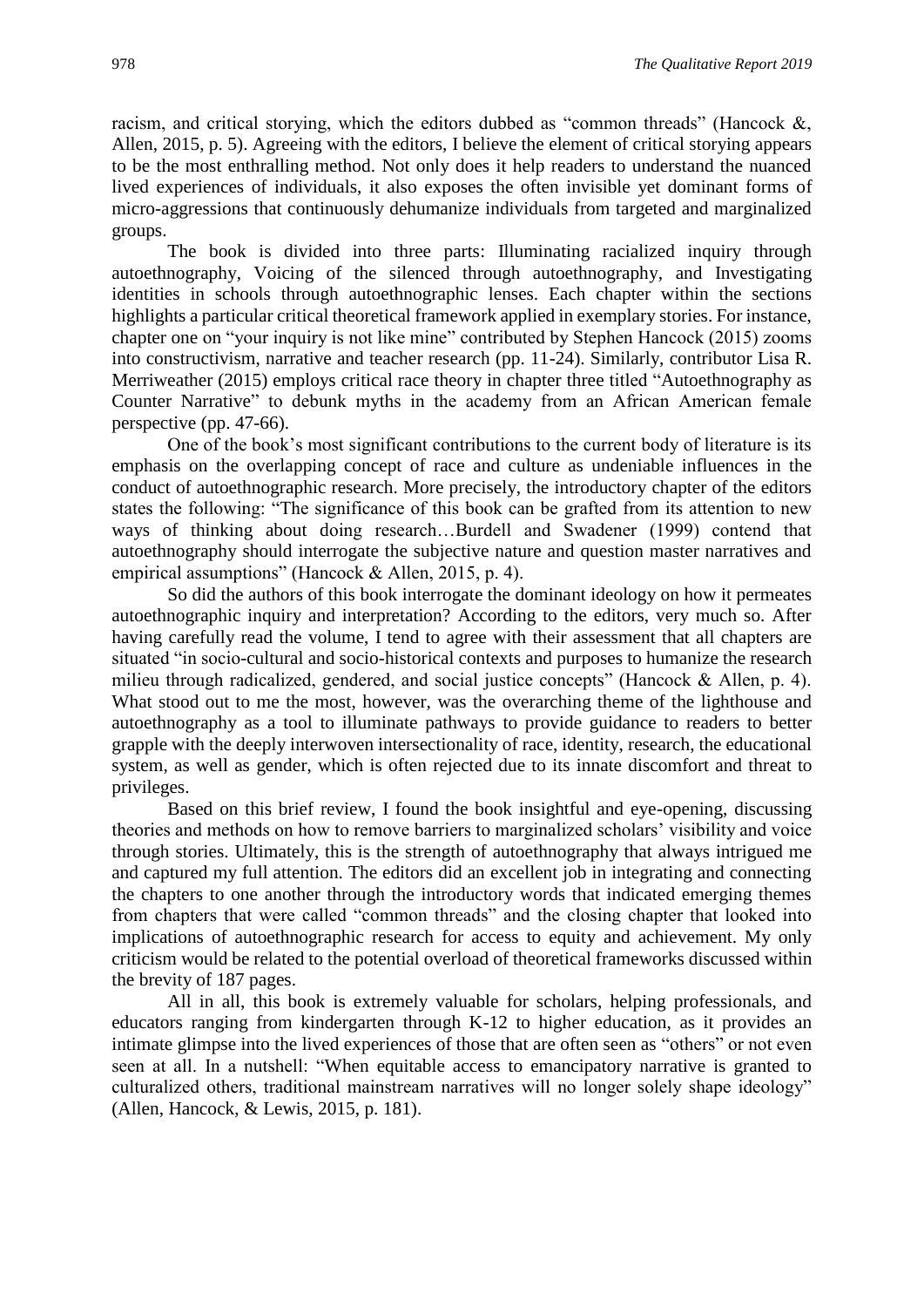racism, and critical storying, which the editors dubbed as "common threads" (Hancock  $\&$ , Allen, 2015, p. 5). Agreeing with the editors, I believe the element of critical storying appears to be the most enthralling method. Not only does it help readers to understand the nuanced lived experiences of individuals, it also exposes the often invisible yet dominant forms of micro-aggressions that continuously dehumanize individuals from targeted and marginalized groups.

The book is divided into three parts: Illuminating racialized inquiry through autoethnography, Voicing of the silenced through autoethnography, and Investigating identities in schools through autoethnographic lenses. Each chapter within the sections highlights a particular critical theoretical framework applied in exemplary stories. For instance, chapter one on "your inquiry is not like mine" contributed by Stephen Hancock (2015) zooms into constructivism, narrative and teacher research (pp. 11-24). Similarly, contributor Lisa R. Merriweather (2015) employs critical race theory in chapter three titled "Autoethnography as Counter Narrative" to debunk myths in the academy from an African American female perspective (pp. 47-66).

One of the book's most significant contributions to the current body of literature is its emphasis on the overlapping concept of race and culture as undeniable influences in the conduct of autoethnographic research. More precisely, the introductory chapter of the editors states the following: "The significance of this book can be grafted from its attention to new ways of thinking about doing research…Burdell and Swadener (1999) contend that autoethnography should interrogate the subjective nature and question master narratives and empirical assumptions" (Hancock & Allen, 2015, p. 4).

So did the authors of this book interrogate the dominant ideology on how it permeates autoethnographic inquiry and interpretation? According to the editors, very much so. After having carefully read the volume, I tend to agree with their assessment that all chapters are situated "in socio-cultural and socio-historical contexts and purposes to humanize the research milieu through radicalized, gendered, and social justice concepts" (Hancock & Allen, p. 4). What stood out to me the most, however, was the overarching theme of the lighthouse and autoethnography as a tool to illuminate pathways to provide guidance to readers to better grapple with the deeply interwoven intersectionality of race, identity, research, the educational system, as well as gender, which is often rejected due to its innate discomfort and threat to privileges.

Based on this brief review, I found the book insightful and eye-opening, discussing theories and methods on how to remove barriers to marginalized scholars' visibility and voice through stories. Ultimately, this is the strength of autoethnography that always intrigued me and captured my full attention. The editors did an excellent job in integrating and connecting the chapters to one another through the introductory words that indicated emerging themes from chapters that were called "common threads" and the closing chapter that looked into implications of autoethnographic research for access to equity and achievement. My only criticism would be related to the potential overload of theoretical frameworks discussed within the brevity of 187 pages.

All in all, this book is extremely valuable for scholars, helping professionals, and educators ranging from kindergarten through K-12 to higher education, as it provides an intimate glimpse into the lived experiences of those that are often seen as "others" or not even seen at all. In a nutshell: "When equitable access to emancipatory narrative is granted to culturalized others, traditional mainstream narratives will no longer solely shape ideology" (Allen, Hancock, & Lewis, 2015, p. 181).